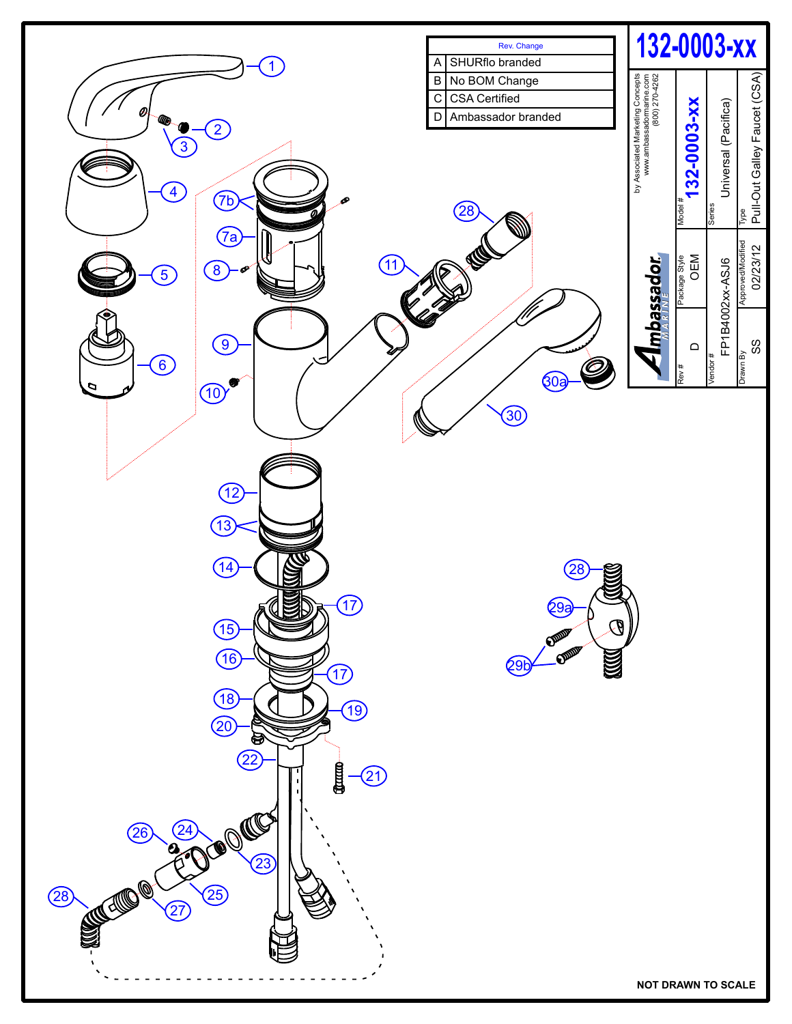